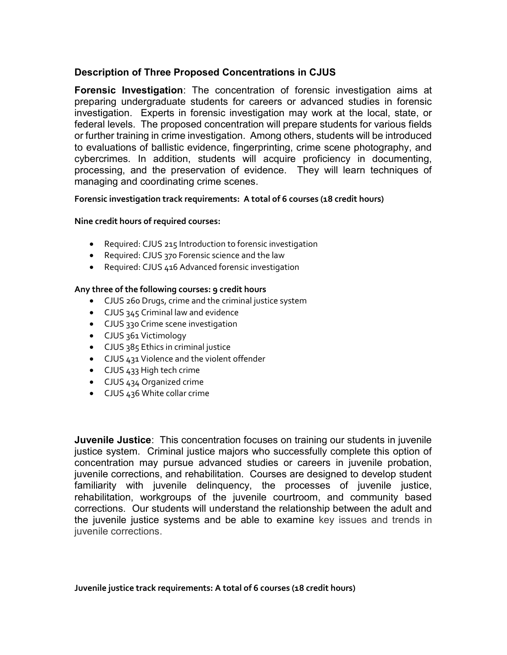# Description of Three Proposed Concentrations in CJUS

Forensic Investigation: The concentration of forensic investigation aims at preparing undergraduate students for careers or advanced studies in forensic investigation. Experts in forensic investigation may work at the local, state, or federal levels. The proposed concentration will prepare students for various fields or further training in crime investigation. Among others, students will be introduced to evaluations of ballistic evidence, fingerprinting, crime scene photography, and cybercrimes. In addition, students will acquire proficiency in documenting, processing, and the preservation of evidence. They will learn techniques of managing and coordinating crime scenes.

# Forensic investigation track requirements: A total of 6 courses (18 credit hours)

# Nine credit hours of required courses:

- Required: CJUS 215 Introduction to forensic investigation
- Required: CJUS 370 Forensic science and the law
- Required: CJUS 416 Advanced forensic investigation

# Any three of the following courses: 9 credit hours

- CJUS 260 Drugs, crime and the criminal justice system
- CJUS 345 Criminal law and evidence
- CJUS 330 Crime scene investigation
- CJUS 361 Victimology
- CJUS 385 Ethics in criminal justice
- CJUS 431 Violence and the violent offender
- CJUS 433 High tech crime
- CJUS 434 Organized crime
- CJUS 436 White collar crime

**Juvenile Justice:** This concentration focuses on training our students in juvenile justice system. Criminal justice majors who successfully complete this option of concentration may pursue advanced studies or careers in juvenile probation, juvenile corrections, and rehabilitation. Courses are designed to develop student familiarity with juvenile delinquency, the processes of juvenile justice, rehabilitation, workgroups of the juvenile courtroom, and community based corrections. Our students will understand the relationship between the adult and the juvenile justice systems and be able to examine key issues and trends in juvenile corrections.